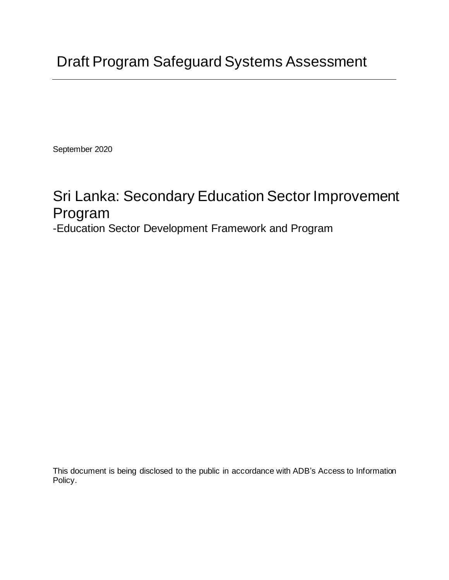September 2020

# Sri Lanka: Secondary Education Sector Improvement Program

-Education Sector Development Framework and Program

This document is being disclosed to the public in accordance with ADB's Access to Information Policy.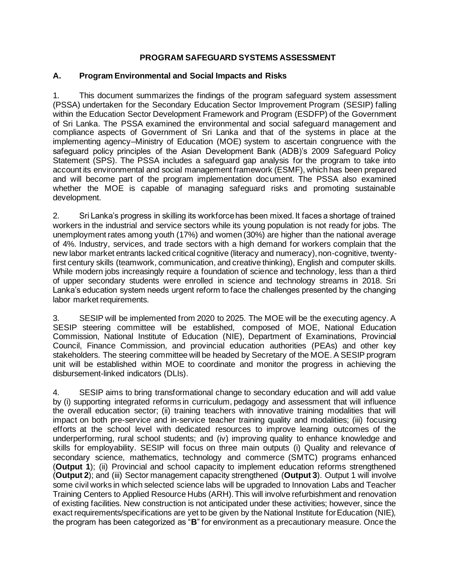## **PROGRAM SAFEGUARD SYSTEMS ASSESSMENT**

#### **A. Program Environmental and Social Impacts and Risks**

1. This document summarizes the findings of the program safeguard system assessment (PSSA) undertaken for the Secondary Education Sector Improvement Program (SESIP) falling within the Education Sector Development Framework and Program (ESDFP) of the Government of Sri Lanka. The PSSA examined the environmental and social safeguard management and compliance aspects of Government of Sri Lanka and that of the systems in place at the implementing agency–Ministry of Education (MOE) system to ascertain congruence with the safeguard policy principles of the Asian Development Bank (ADB)'s 2009 Safeguard Policy Statement (SPS). The PSSA includes a safeguard gap analysis for the program to take into account its environmental and social management framework (ESMF), which has been prepared and will become part of the program implementation document. The PSSA also examined whether the MOE is capable of managing safeguard risks and promoting sustainable development.

2. Sri Lanka's progress in skilling its workforce has been mixed. It faces a shortage of trained workers in the industrial and service sectors while its young population is not ready for jobs. The unemployment rates among youth (17%) and women (30%) are higher than the national average of 4%. Industry, services, and trade sectors with a high demand for workers complain that the new labor market entrants lacked critical cognitive (literacy and numeracy), non-cognitive, twentyfirst century skills (teamwork, communication, and creative thinking), English and computer skills. While modern jobs increasingly require a foundation of science and technology, less than a third of upper secondary students were enrolled in science and technology streams in 2018. Sri Lanka's education system needs urgent reform to face the challenges presented by the changing labor market requirements.

3. SESIP will be implemented from 2020 to 2025. The MOE will be the executing agency. A SESIP steering committee will be established, composed of MOE, National Education Commission, National Institute of Education (NIE), Department of Examinations, Provincial Council, Finance Commission, and provincial education authorities (PEAs) and other key stakeholders. The steering committee will be headed by Secretary of the MOE. A SESIP program unit will be established within MOE to coordinate and monitor the progress in achieving the disbursement-linked indicators (DLIs).

4. SESIP aims to bring transformational change to secondary education and will add value by (i) supporting integrated reforms in curriculum, pedagogy and assessment that will influence the overall education sector; (ii) training teachers with innovative training modalities that will impact on both pre-service and in-service teacher training quality and modalities; (iii) focusing efforts at the school level with dedicated resources to improve learning outcomes of the underperforming, rural school students; and (iv) improving quality to enhance knowledge and skills for employability. SESIP will focus on three main outputs (i) Quality and relevance of secondary science, mathematics, technology and commerce (SMTC) programs enhanced (**Output 1**); (ii) Provincial and school capacity to implement education reforms strengthened (**Output 2**); and (iii) Sector management capacity strengthened (**Output 3**). Output 1 will involve some civil works in which selected science labs will be upgraded to Innovation Labs and Teacher Training Centers to Applied Resource Hubs (ARH). This will involve refurbishment and renovation of existing facilities. New construction is not anticipated under these activities; however, since the exact requirements/specifications are yet to be given by the National Institute for Education (NIE), the program has been categorized as "**B**" for environment as a precautionary measure. Once the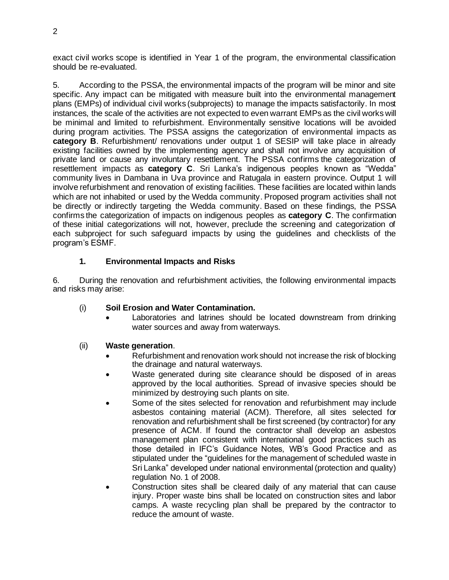exact civil works scope is identified in Year 1 of the program, the environmental classification should be re-evaluated.

5. According to the PSSA, the environmental impacts of the program will be minor and site specific. Any impact can be mitigated with measure built into the environmental management plans (EMPs) of individual civil works (subprojects) to manage the impacts satisfactorily. In most instances, the scale of the activities are not expected to even warrant EMPs as the civil works will be minimal and limited to refurbishment. Environmentally sensitive locations will be avoided during program activities. The PSSA assigns the categorization of environmental impacts as **category B**. Refurbishment/ renovations under output 1 of SESIP will take place in already existing facilities owned by the implementing agency and shall not involve any acquisition of private land or cause any involuntary resettlement. The PSSA confirms the categorization of resettlement impacts as **category C**. Sri Lanka's indigenous peoples known as "Wedda" community lives in Dambana in Uva province and Ratugala in eastern province. Output 1 will involve refurbishment and renovation of existing facilities. These facilities are located within lands which are not inhabited or used by the Wedda community. Proposed program activities shall not be directly or indirectly targeting the Wedda community. Based on these findings, the PSSA confirms the categorization of impacts on indigenous peoples as **category C**. The confirmation of these initial categorizations will not, however, preclude the screening and categorization of each subproject for such safeguard impacts by using the guidelines and checklists of the program's ESMF.

## **1. Environmental Impacts and Risks**

6. During the renovation and refurbishment activities, the following environmental impacts and risks may arise:

## (i) **Soil Erosion and Water Contamination.**

Laboratories and latrines should be located downstream from drinking water sources and away from waterways.

## (ii) **Waste generation**.

- Refurbishment and renovation work should not increase the risk of blocking the drainage and natural waterways.
- Waste generated during site clearance should be disposed of in areas approved by the local authorities. Spread of invasive species should be minimized by destroying such plants on site.
- Some of the sites selected for renovation and refurbishment may include asbestos containing material (ACM). Therefore, all sites selected for renovation and refurbishment shall be first screened (by contractor) for any presence of ACM. If found the contractor shall develop an asbestos management plan consistent with international good practices such as those detailed in IFC's Guidance Notes, WB's Good Practice and as stipulated under the "guidelines for the management of scheduled waste in Sri Lanka" developed under national environmental (protection and quality) regulation No. 1 of 2008.
- Construction sites shall be cleared daily of any material that can cause injury. Proper waste bins shall be located on construction sites and labor camps. A waste recycling plan shall be prepared by the contractor to reduce the amount of waste.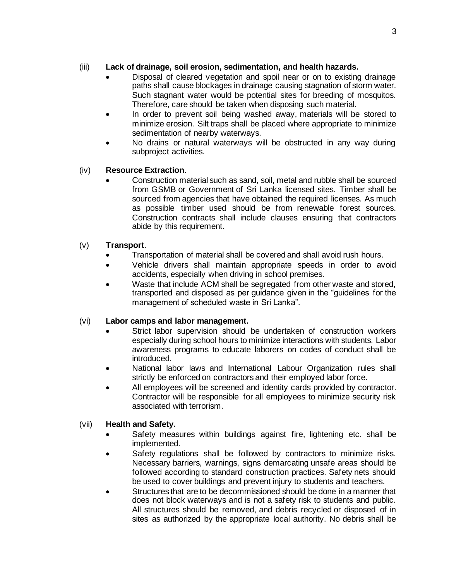# (iii) **Lack of drainage, soil erosion, sedimentation, and health hazards.**

- Disposal of cleared vegetation and spoil near or on to existing drainage paths shall cause blockages in drainage causing stagnation of storm water. Such stagnant water would be potential sites for breeding of mosquitos. Therefore, care should be taken when disposing such material.
- In order to prevent soil being washed away, materials will be stored to minimize erosion. Silt traps shall be placed where appropriate to minimize sedimentation of nearby waterways.
- No drains or natural waterways will be obstructed in any way during subproject activities.

## (iv) **Resource Extraction**.

• Construction material such as sand, soil, metal and rubble shall be sourced from GSMB or Government of Sri Lanka licensed sites. Timber shall be sourced from agencies that have obtained the required licenses. As much as possible timber used should be from renewable forest sources. Construction contracts shall include clauses ensuring that contractors abide by this requirement.

## (v) **Transport**.

- Transportation of material shall be covered and shall avoid rush hours.
- Vehicle drivers shall maintain appropriate speeds in order to avoid accidents, especially when driving in school premises.
- Waste that include ACM shall be segregated from other waste and stored. transported and disposed as per guidance given in the "guidelines for the management of scheduled waste in Sri Lanka".

## (vi) **Labor camps and labor management.**

- Strict labor supervision should be undertaken of construction workers especially during school hours to minimize interactions with students. Labor awareness programs to educate laborers on codes of conduct shall be introduced.
- National labor laws and International Labour Organization rules shall strictly be enforced on contractors and their employed labor force.
- All employees will be screened and identity cards provided by contractor. Contractor will be responsible for all employees to minimize security risk associated with terrorism.

## (vii) **Health and Safety.**

- Safety measures within buildings against fire, lightening etc. shall be implemented.
- Safety regulations shall be followed by contractors to minimize risks. Necessary barriers, warnings, signs demarcating unsafe areas should be followed according to standard construction practices. Safety nets should be used to cover buildings and prevent injury to students and teachers.
- Structures that are to be decommissioned should be done in a manner that does not block waterways and is not a safety risk to students and public. All structures should be removed, and debris recycled or disposed of in sites as authorized by the appropriate local authority. No debris shall be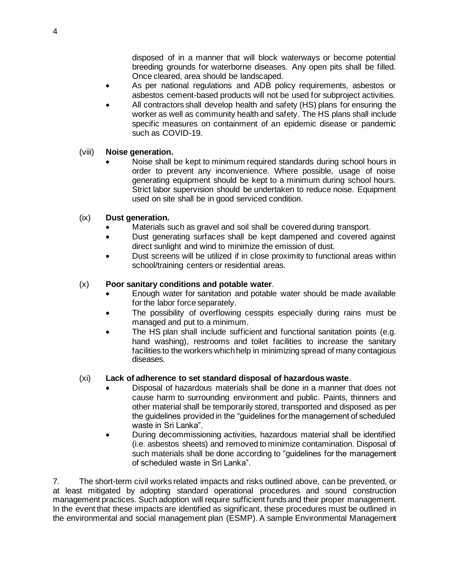disposed of in a manner that will block waterways or become potential breeding grounds for waterborne diseases. Any open pits shall be filled. Once cleared, area should be landscaped.

- As per national regulations and ADB policy requirements, asbestos or asbestos cement-based products will not be used for subproject activities.
- All contractors shall develop health and safety (HS) plans for ensuring the worker as well as community health and safety. The HS plans shall include specific measures on containment of an epidemic disease or pandemic such as COVID-19.

#### (viii) **Noise generation.**

• Noise shall be kept to minimum required standards during school hours in order to prevent any inconvenience. Where possible, usage of noise generating equipment should be kept to a minimum during school hours. Strict labor supervision should be undertaken to reduce noise. Equipment used on site shall be in good serviced condition.

#### (ix) **Dust generation.**

- Materials such as gravel and soil shall be covered during transport.
- Dust generating surfaces shall be kept dampened and covered against direct sunlight and wind to minimize the emission of dust.
- Dust screens will be utilized if in close proximity to functional areas within school/training centers or residential areas.

#### (x) **Poor sanitary conditions and potable water**.

- Enough water for sanitation and potable water should be made available for the labor force separately.
- The possibility of overflowing cesspits especially during rains must be managed and put to a minimum.
- The HS plan shall include sufficient and functional sanitation points (e.g. hand washing), restrooms and toilet facilities to increase the sanitary facilities to the workers which help in minimizing spread of many contagious diseases.

#### (xi) **Lack of adherence to set standard disposal of hazardous waste**.

- Disposal of hazardous materials shall be done in a manner that does not cause harm to surrounding environment and public. Paints, thinners and other material shall be temporarily stored, transported and disposed as per the guidelines provided in the "guidelines for the management of scheduled waste in Sri Lanka".
- During decommissioning activities, hazardous material shall be identified (i.e. asbestos sheets) and removed to minimize contamination. Disposal of such materials shall be done according to "guidelines for the management of scheduled waste in Sri Lanka".

7. The short-term civil works related impacts and risks outlined above, can be prevented, or at least mitigated by adopting standard operational procedures and sound construction management practices. Such adoption will require sufficient funds and their proper management. In the event that these impacts are identified as significant, these procedures must be outlined in the environmental and social management plan (ESMP). A sample Environmental Management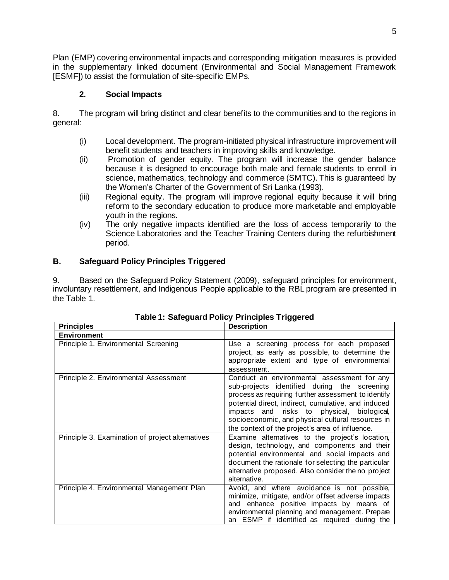Plan (EMP) covering environmental impacts and corresponding mitigation measures is provided in the supplementary linked document (Environmental and Social Management Framework [ESMF]) to assist the formulation of site-specific EMPs.

# **2. Social Impacts**

8. The program will bring distinct and clear benefits to the communities and to the regions in general:

- (i) Local development. The program-initiated physical infrastructure improvement will benefit students and teachers in improving skills and knowledge.
- (ii) Promotion of gender equity. The program will increase the gender balance because it is designed to encourage both male and female students to enroll in science, mathematics, technology and commerce (SMTC). This is guaranteed by the Women's Charter of the Government of Sri Lanka (1993).
- (iii) Regional equity. The program will improve regional equity because it will bring reform to the secondary education to produce more marketable and employable youth in the regions.
- (iv) The only negative impacts identified are the loss of access temporarily to the Science Laboratories and the Teacher Training Centers during the refurbishment period.

# **B. Safeguard Policy Principles Triggered**

9. Based on the Safeguard Policy Statement (2009), safeguard principles for environment, involuntary resettlement, and Indigenous People applicable to the RBL program are presented in the Table 1.

| <b>Principles</b>                                | <b>Description</b>                                                                                                                                                                                                                                                                                                                                              |
|--------------------------------------------------|-----------------------------------------------------------------------------------------------------------------------------------------------------------------------------------------------------------------------------------------------------------------------------------------------------------------------------------------------------------------|
| <b>Environment</b>                               |                                                                                                                                                                                                                                                                                                                                                                 |
| Principle 1. Environmental Screening             | Use a screening process for each proposed<br>project, as early as possible, to determine the<br>appropriate extent and type of environmental<br>assessment.                                                                                                                                                                                                     |
| Principle 2. Environmental Assessment            | Conduct an environmental assessment for any<br>sub-projects identified during the screening<br>process as requiring further assessment to identify<br>potential direct, indirect, cumulative, and induced<br>impacts and risks to physical, biological,<br>socioeconomic, and physical cultural resources in<br>the context of the project's area of influence. |
| Principle 3. Examination of project alternatives | Examine alternatives to the project's location,<br>design, technology, and components and their<br>potential environmental and social impacts and<br>document the rationale for selecting the particular<br>alternative proposed. Also consider the no project<br>alternative.                                                                                  |
| Principle 4. Environmental Management Plan       | Avoid, and where avoidance is not possible,<br>minimize, mitigate, and/or offset adverse impacts<br>and enhance positive impacts by means of<br>environmental planning and management. Prepare<br>an ESMP if identified as required during the                                                                                                                  |

## **Table 1: Safeguard Policy Principles Triggered**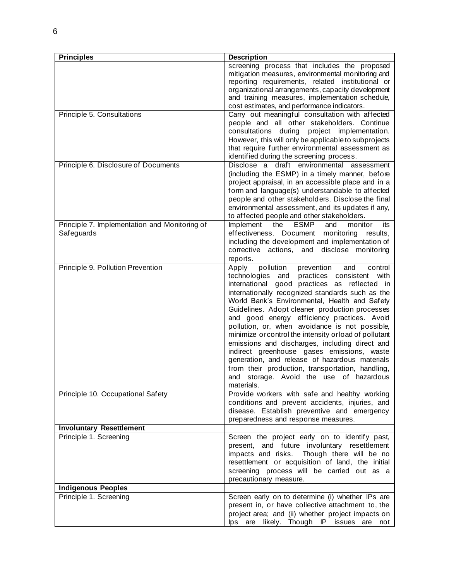| <b>Principles</b>                                           | <b>Description</b>                                                                                                                                                                                                                                                                                                                                                                                                                                                                                                                                                                                                                                                                                                                      |
|-------------------------------------------------------------|-----------------------------------------------------------------------------------------------------------------------------------------------------------------------------------------------------------------------------------------------------------------------------------------------------------------------------------------------------------------------------------------------------------------------------------------------------------------------------------------------------------------------------------------------------------------------------------------------------------------------------------------------------------------------------------------------------------------------------------------|
|                                                             | screening process that includes the proposed<br>mitigation measures, environmental monitoring and<br>reporting requirements, related institutional or<br>organizational arrangements, capacity development<br>and training measures, implementation schedule,<br>cost estimates, and performance indicators.                                                                                                                                                                                                                                                                                                                                                                                                                            |
| Principle 5. Consultations                                  | Carry out meaningful consultation with affected<br>people and all other stakeholders. Continue<br>consultations during project implementation.<br>However, this will only be applicable to subprojects<br>that require further environmental assessment as<br>identified during the screening process.                                                                                                                                                                                                                                                                                                                                                                                                                                  |
| Principle 6. Disclosure of Documents                        | Disclose a draft environmental assessment<br>(including the ESMP) in a timely manner, before<br>project appraisal, in an accessible place and in a<br>form and language(s) understandable to affected<br>people and other stakeholders. Disclose the final<br>environmental assessment, and its updates if any,<br>to affected people and other stakeholders.                                                                                                                                                                                                                                                                                                                                                                           |
| Principle 7. Implementation and Monitoring of<br>Safeguards | the<br>ESMP<br>Implement<br>and<br>monitor<br>its<br>effectiveness. Document<br>monitoring<br>results,<br>including the development and implementation of<br>corrective actions, and disclose monitoring<br>reports.                                                                                                                                                                                                                                                                                                                                                                                                                                                                                                                    |
| Principle 9. Pollution Prevention                           | control<br>Apply<br>pollution<br>prevention<br>and<br>technologies and<br>practices consistent with<br>international good practices as reflected in<br>internationally recognized standards such as the<br>World Bank's Environmental, Health and Safety<br>Guidelines. Adopt cleaner production processes<br>and good energy efficiency practices. Avoid<br>pollution, or, when avoidance is not possible,<br>minimize or control the intensity or load of pollutant<br>emissions and discharges, including direct and<br>indirect greenhouse gases emissions, waste<br>generation, and release of hazardous materials<br>from their production, transportation, handling,<br>storage. Avoid the use of hazardous<br>and<br>materials. |
| Principle 10. Occupational Safety                           | Provide workers with safe and healthy working<br>conditions and prevent accidents, injuries, and<br>disease. Establish preventive and emergency<br>preparedness and response measures.                                                                                                                                                                                                                                                                                                                                                                                                                                                                                                                                                  |
| <b>Involuntary Resettlement</b>                             |                                                                                                                                                                                                                                                                                                                                                                                                                                                                                                                                                                                                                                                                                                                                         |
| Principle 1. Screening                                      | Screen the project early on to identify past,<br>present, and future involuntary resettlement<br>impacts and risks. Though there will be no<br>resettlement or acquisition of land, the initial<br>screening process will be carried out as a<br>precautionary measure.                                                                                                                                                                                                                                                                                                                                                                                                                                                                 |
| <b>Indigenous Peoples</b>                                   |                                                                                                                                                                                                                                                                                                                                                                                                                                                                                                                                                                                                                                                                                                                                         |
| Principle 1. Screening                                      | Screen early on to determine (i) whether IPs are<br>present in, or have collective attachment to, the<br>project area; and (ii) whether project impacts on<br>lps are likely. Though IP<br>issues are<br>not                                                                                                                                                                                                                                                                                                                                                                                                                                                                                                                            |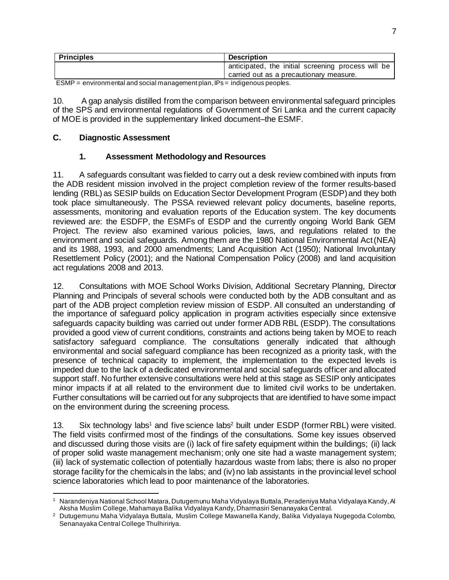| <b>Principles</b>                                                                                                                | <b>Description</b>                                 |
|----------------------------------------------------------------------------------------------------------------------------------|----------------------------------------------------|
|                                                                                                                                  | anticipated, the initial screening process will be |
|                                                                                                                                  | carried out as a precautionary measure.            |
| $F^{\lambda}$<br>the contract of the contract of the contract of the contract of the contract of the contract of the contract of |                                                    |

ESMP = environmental and social management plan, IPs = indigenous peoples.

10. A gap analysis distilled from the comparison between environmental safeguard principles of the SPS and environmental regulations of Government of Sri Lanka and the current capacity of MOE is provided in the supplementary linked document–the ESMF.

## **C. Diagnostic Assessment**

## **1. Assessment Methodology and Resources**

11. A safeguards consultant was fielded to carry out a desk review combined with inputs from the ADB resident mission involved in the project completion review of the former results-based lending (RBL) as SESIP builds on Education Sector Development Program (ESDP)and they both took place simultaneously. The PSSA reviewed relevant policy documents, baseline reports, assessments, monitoring and evaluation reports of the Education system. The key documents reviewed are: the ESDFP, the ESMFs of ESDP and the currently ongoing World Bank GEM Project. The review also examined various policies, laws, and regulations related to the environment and social safeguards. Among them are the 1980 National Environmental Act (NEA) and its 1988, 1993, and 2000 amendments; Land Acquisition Act (1950); National Involuntary Resettlement Policy (2001); and the National Compensation Policy (2008) and land acquisition act regulations 2008 and 2013.

12. Consultations with MOE School Works Division, Additional Secretary Planning, Director Planning and Principals of several schools were conducted both by the ADB consultant and as part of the ADB project completion review mission of ESDP. All consulted an understanding of the importance of safeguard policy application in program activities especially since extensive safeguards capacity building was carried out under former ADB RBL (ESDP). The consultations provided a good view of current conditions, constraints and actions being taken by MOE to reach satisfactory safeguard compliance. The consultations generally indicated that although environmental and social safeguard compliance has been recognized as a priority task, with the presence of technical capacity to implement, the implementation to the expected levels is impeded due to the lack of a dedicated environmental and social safeguards officer and allocated support staff. No further extensive consultations were held at this stage as SESIP only anticipates minor impacts if at all related to the environment due to limited civil works to be undertaken. Further consultations will be carried out for any subprojects that are identified to have some impact on the environment during the screening process.

13. Six technology labs<sup>1</sup> and five science labs<sup>2</sup> built under ESDP (former RBL) were visited. The field visits confirmed most of the findings of the consultations. Some key issues observed and discussed during those visits are (i) lack of fire safety equipment within the buildings; (ii) lack of proper solid waste management mechanism; only one site had a waste management system; (iii) lack of systematic collection of potentially hazardous waste from labs; there is also no proper storage facility for the chemicals in the labs; and (iv) no lab assistants in the provincial level school science laboratories which lead to poor maintenance of the laboratories.

<sup>1</sup> Narandeniya National School Matara, Dutugemunu Maha Vidyalaya Buttala, Peradeniya Maha Vidyalaya Kandy, Al Aksha Muslim College, Mahamaya Balika Vidyalaya Kandy, Dharmasiri Senanayaka Central.

<sup>2</sup> Dutugemunu Maha Vidyalaya Buttala, Muslim College Mawanella Kandy, Balika Vidyalaya Nugegoda Colombo, Senanayaka Central College Thulhiririya.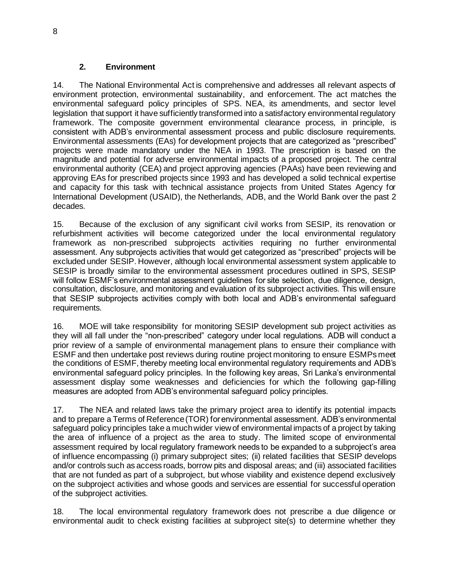#### **2. Environment**

14. The National Environmental Act is comprehensive and addresses all relevant aspects of environment protection, environmental sustainability, and enforcement. The act matches the environmental safeguard policy principles of SPS. NEA, its amendments, and sector level legislation that support it have sufficiently transformed into a satisfactory environmental regulatory framework. The composite government environmental clearance process, in principle, is consistent with ADB's environmental assessment process and public disclosure requirements. Environmental assessments (EAs) for development projects that are categorized as "prescribed" projects were made mandatory under the NEA in 1993. The prescription is based on the magnitude and potential for adverse environmental impacts of a proposed project. The central environmental authority (CEA) and project approving agencies (PAAs) have been reviewing and approving EAs for prescribed projects since 1993 and has developed a solid technical expertise and capacity for this task with technical assistance projects from United States Agency for International Development (USAID), the Netherlands, ADB, and the World Bank over the past 2 decades.

15. Because of the exclusion of any significant civil works from SESIP, its renovation or refurbishment activities will become categorized under the local environmental regulatory framework as non-prescribed subprojects activities requiring no further environmental assessment. Any subprojects activities that would get categorized as "prescribed" projects will be excluded under SESIP. However, although local environmental assessment system applicable to SESIP is broadly similar to the environmental assessment procedures outlined in SPS, SESIP will follow ESMF's environmental assessment guidelines for site selection, due diligence, design, consultation, disclosure, and monitoring and evaluation of its subproject activities. This will ensure that SESIP subprojects activities comply with both local and ADB's environmental safeguard requirements.

16. MOE will take responsibility for monitoring SESIP development sub project activities as they will all fall under the "non-prescribed" category under local regulations. ADB will conduct a prior review of a sample of environmental management plans to ensure their compliance with ESMF and then undertake post reviews during routine project monitoring to ensure ESMPs meet the conditions of ESMF, thereby meeting local environmental regulatory requirements and ADB's environmental safeguard policy principles. In the following key areas, Sri Lanka's environmental assessment display some weaknesses and deficiencies for which the following gap-filling measures are adopted from ADB's environmental safeguard policy principles.

17. The NEA and related laws take the primary project area to identify its potential impacts and to prepare a Terms of Reference (TOR) for environmental assessment. ADB's environmental safeguard policy principles take a much wider view of environmental impacts of a project by taking the area of influence of a project as the area to study. The limited scope of environmental assessment required by local regulatory framework needs to be expanded to a subproject's area of influence encompassing (i) primary subproject sites; (ii) related facilities that SESIP develops and/or controls such as access roads, borrow pits and disposal areas; and (iii) associated facilities that are not funded as part of a subproject, but whose viability and existence depend exclusively on the subproject activities and whose goods and services are essential for successful operation of the subproject activities.

18. The local environmental regulatory framework does not prescribe a due diligence or environmental audit to check existing facilities at subproject site(s) to determine whether they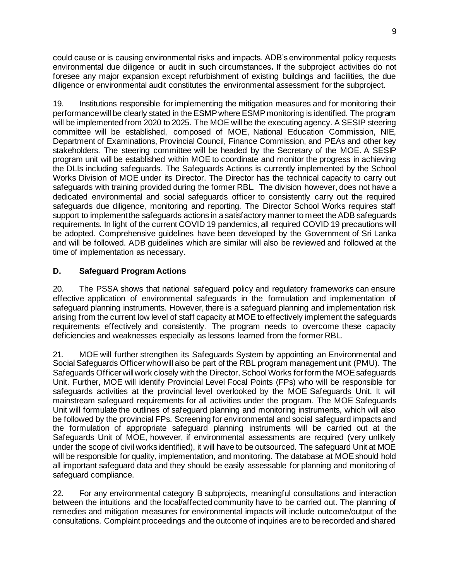could cause or is causing environmental risks and impacts. ADB's environmental policy requests environmental due diligence or audit in such circumstances**.** If the subproject activities do not foresee any major expansion except refurbishment of existing buildings and facilities, the due diligence or environmental audit constitutes the environmental assessment for the subproject.

19. Institutions responsible for implementing the mitigation measures and for monitoring their performance will be clearly stated in the ESMP where ESMP monitoring is identified. The program will be implemented from 2020 to 2025. The MOE will be the executing agency. A SESIP steering committee will be established, composed of MOE, National Education Commission, NIE, Department of Examinations, Provincial Council, Finance Commission, and PEAs and other key stakeholders. The steering committee will be headed by the Secretary of the MOE. A SESIP program unit will be established within MOE to coordinate and monitor the progress in achieving the DLIs including safeguards. The Safeguards Actions is currently implemented by the School Works Division of MOE under its Director. The Director has the technical capacity to carry out safeguards with training provided during the former RBL. The division however, does not have a dedicated environmental and social safeguards officer to consistently carry out the required safeguards due diligence, monitoring and reporting. The Director School Works requires staff support to implement the safeguards actions in a satisfactory manner to meet the ADB safeguards requirements. In light of the current COVID 19 pandemics, all required COVID 19 precautions will be adopted. Comprehensive guidelines have been developed by the Government of Sri Lanka and will be followed. ADB guidelines which are similar will also be reviewed and followed at the time of implementation as necessary.

## **D. Safeguard Program Actions**

20. The PSSA shows that national safeguard policy and regulatory frameworks can ensure effective application of environmental safeguards in the formulation and implementation of safeguard planning instruments. However, there is a safeguard planning and implementation risk arising from the current low level of staff capacity at MOE to effectively implement the safeguards requirements effectively and consistently. The program needs to overcome these capacity deficiencies and weaknesses especially as lessons learned from the former RBL.

21. MOE will further strengthen its Safeguards System by appointing an Environmental and Social Safeguards Officer who will also be part of the RBL program management unit (PMU). The Safeguards Officer will work closely with the Director, School Works for form the MOE safeguards Unit. Further, MOE will identify Provincial Level Focal Points (FPs) who will be responsible for safeguards activities at the provincial level overlooked by the MOE Safeguards Unit. It will mainstream safeguard requirements for all activities under the program. The MOE Safeguards Unit will formulate the outlines of safeguard planning and monitoring instruments, which will also be followed by the provincial FPs. Screening for environmental and social safeguard impacts and the formulation of appropriate safeguard planning instruments will be carried out at the Safeguards Unit of MOE, however, if environmental assessments are required (very unlikely under the scope of civil works identified), it will have to be outsourced. The safeguard Unit at MOE will be responsible for quality, implementation, and monitoring. The database at MOE should hold all important safeguard data and they should be easily assessable for planning and monitoring of safeguard compliance.

22. For any environmental category B subprojects, meaningful consultations and interaction between the intuitions and the local/affected community have to be carried out. The planning of remedies and mitigation measures for environmental impacts will include outcome/output of the consultations. Complaint proceedings and the outcome of inquiries are to be recorded and shared